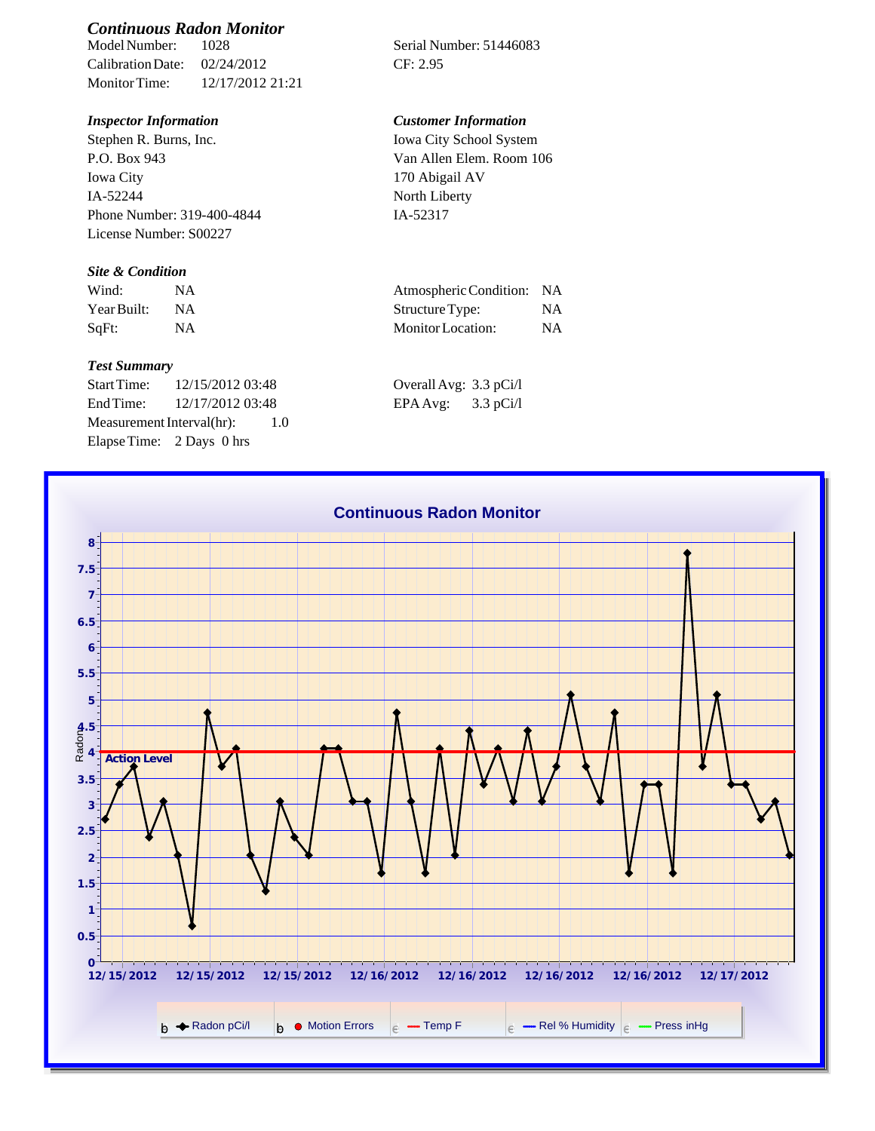# *Continuous Radon Monitor*

Calibration Date: 02/24/2012 CF: 2.95 Monitor Time: 12/17/2012 21:21

## *Inspector Information Customer Information*

Stephen R. Burns, Inc. P.O. Box 943 Iowa City IA-52244 Phone Number: 319-400-4844 License Number: S00227

### *Site & Condition*

| Wind:       |           | Atmospheric Condition: NA |    |
|-------------|-----------|---------------------------|----|
| Year Built: | <b>NA</b> | Structure Type:           | NΑ |
| SqFt:       | NA        | Monitor Location:         | NΑ |

#### *Test Summary*

Start Time: 12/15/2012 03:48 End Time:  $12/17/201203:48$ Measurement Interval(hr): 1.0 Elapse Time: 2 Days 0 hrs

Serial Number: 51446083

Iowa City School System Van Allen Elem. Room 106 170 Abigail AV North Liberty IA-52317

| Atmospheric Condition: NA |           |
|---------------------------|-----------|
| Structure Type:           | <b>NA</b> |
| Monitor Location:         | NA        |

| Overall Avg: 3.3 pCi/l |             |
|------------------------|-------------|
| EPA Avg:               | $3.3$ pCi/l |

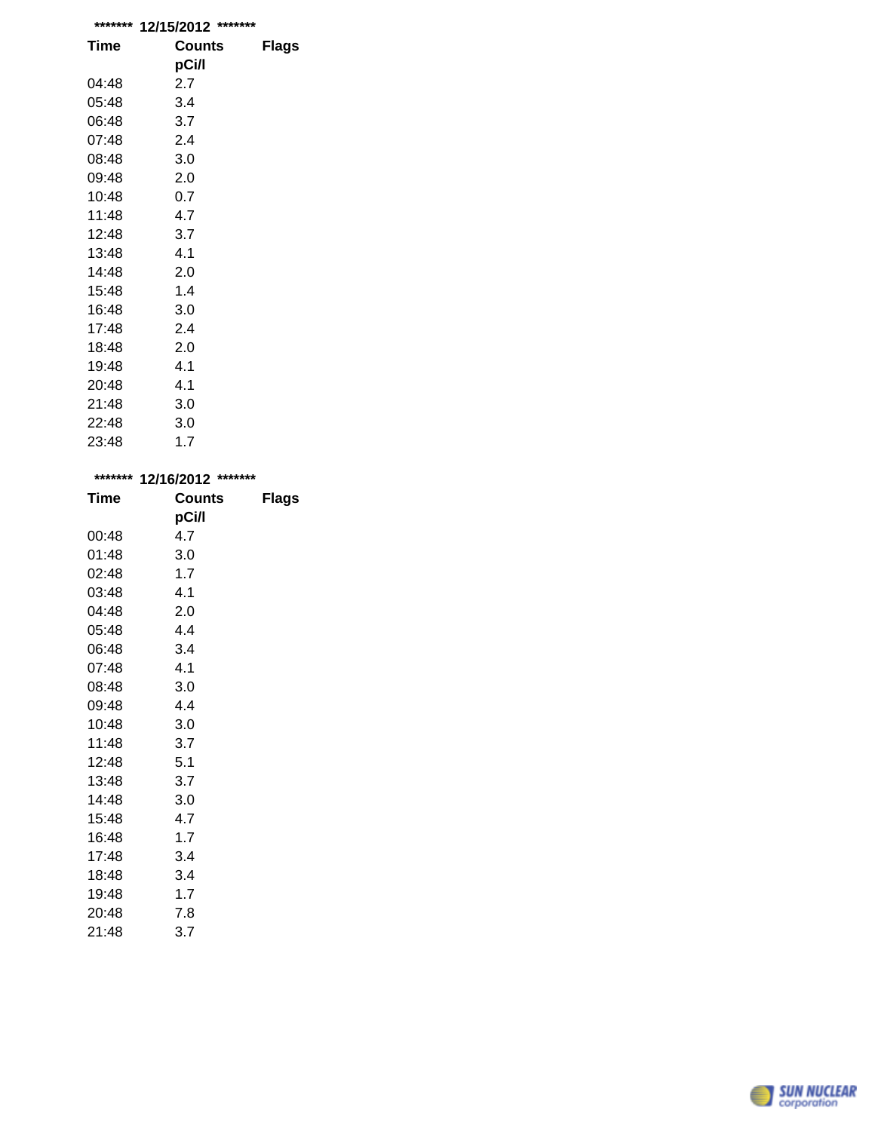| *******     | 12/15/2012 ******* |              |
|-------------|--------------------|--------------|
| <b>Time</b> | Counts             | <b>Flags</b> |
|             | pCi/l              |              |
| 04:48       | 2.7                |              |
| 05:48       | 3.4                |              |
| 06:48       | 3.7                |              |
| 07:48       | 2.4                |              |
| 08:48       | 3.0                |              |
| 09:48       | 2.0                |              |
| 10:48       | 0.7                |              |
| 11:48       | 4.7                |              |
| 12:48       | 3.7                |              |
| 13:48       | 4.1                |              |
| 14:48       | 2.0                |              |
| 15:48       | 1.4                |              |
| 16:48       | 3.0                |              |
| 17:48       | 2.4                |              |
| 18:48       | 2.0                |              |
| 19:48       | 4.1                |              |
| 20:48       | 4.1                |              |
| 21:48       | 3.0                |              |
| 22:48       | 3.0                |              |
| 23:48       | 1.7                |              |

| ******* | *******<br>12/16/2012 |              |  |
|---------|-----------------------|--------------|--|
| Time    | <b>Counts</b>         | <b>Flags</b> |  |
|         | pCi/l                 |              |  |
| 00:48   | 4.7                   |              |  |
| 01:48   | 3.0                   |              |  |
| 02:48   | 1.7                   |              |  |
| 03:48   | 4.1                   |              |  |
| 04:48   | 2.0                   |              |  |
| 05:48   | 4.4                   |              |  |
| 06:48   | 3.4                   |              |  |
| 07:48   | 4.1                   |              |  |
| 08:48   | 3.0                   |              |  |
| 09:48   | 4.4                   |              |  |
| 10:48   | 3.0                   |              |  |
| 11:48   | 3.7                   |              |  |
| 12:48   | 5.1                   |              |  |
| 13:48   | 3.7                   |              |  |
| 14:48   | 3.0                   |              |  |
| 15:48   | 4.7                   |              |  |
| 16:48   | 1.7                   |              |  |
| 17:48   | 3.4                   |              |  |
| 18:48   | 3.4                   |              |  |
| 19:48   | 1.7                   |              |  |
| 20:48   | 7.8                   |              |  |

| 20. <del>1</del> 0 | ن. ا |  |
|--------------------|------|--|
| 21:48              | 3.7  |  |
|                    |      |  |
|                    |      |  |